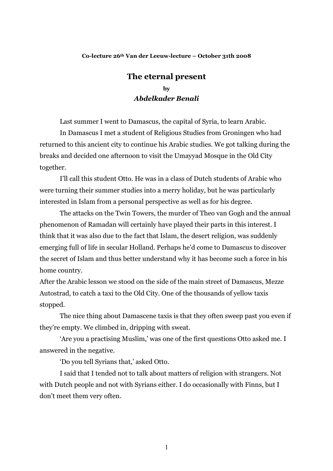## Co-lecture 26th Van der Leeuw-lecture - October 31th 2008

## The eternal present by **Abdelkader Benali**

Last summer I went to Damascus, the capital of Syria, to learn Arabic.

In Damascus I met a student of Religious Studies from Groningen who had returned to this ancient city to continue his Arabic studies. We got talking during the breaks and decided one afternoon to visit the Umayyad Mosque in the Old City together.

I'll call this student Otto. He was in a class of Dutch students of Arabic who were turning their summer studies into a merry holiday, but he was particularly interested in Islam from a personal perspective as well as for his degree.

The attacks on the Twin Towers, the murder of Theo van Gogh and the annual phenomenon of Ramadan will certainly have played their parts in this interest. I think that it was also due to the fact that Islam, the desert religion, was suddenly emerging full of life in secular Holland. Perhaps he'd come to Damascus to discover the secret of Islam and thus better understand why it has become such a force in his home country.

After the Arabic lesson we stood on the side of the main street of Damascus, Mezze Autostrad, to catch a taxi to the Old City. One of the thousands of yellow taxis stopped.

The nice thing about Damascene taxis is that they often sweep past you even if they're empty. We climbed in, dripping with sweat.

'Are you a practising Muslim,' was one of the first questions Otto asked me. I answered in the negative.

'Do you tell Syrians that,' asked Otto.

I said that I tended not to talk about matters of religion with strangers. Not with Dutch people and not with Syrians either. I do occasionally with Finns, but I don't meet them very often.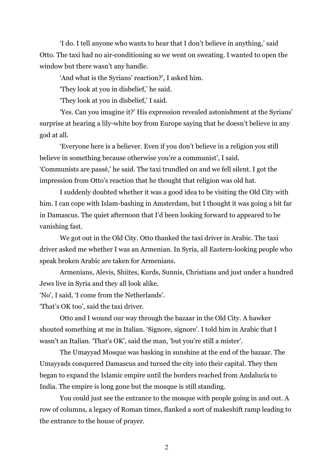'I do. I tell anyone who wants to hear that I don't believe in anything,' said Otto. The taxi had no air-conditioning so we went on sweating. I wanted to open the window but there wasn't any handle.

'And what is the Syrians' reaction?', I asked him.

'They look at you in disbelief,' he said.

'They look at you in disbelief,' I said.

'Yes. Can you imagine it?' His expression revealed astonishment at the Syrians' surprise at hearing a lily-white boy from Europe saying that he doesn't believe in any god at all.

'Everyone here is a believer. Even if you don't believe in a religion you still believe in something because otherwise you're a communist', I said. 'Communists are passé,' he said. The taxi trundled on and we fell silent. I got the impression from Otto's reaction that he thought that religion was old hat.

I suddenly doubted whether it was a good idea to be visiting the Old City with him. I can cope with Islam-bashing in Amsterdam, but I thought it was going a bit far in Damascus. The quiet afternoon that I'd been looking forward to appeared to be vanishing fast.

We got out in the Old City. Otto thanked the taxi driver in Arabic. The taxi driver asked me whether I was an Armenian. In Syria, all Eastern-looking people who speak broken Arabic are taken for Armenians.

Armenians, Alevis, Shiites, Kurds, Sunnis, Christians and just under a hundred Jews live in Syria and they all look alike.

'No', I said, 'I come from the Netherlands'.

'That's OK too', said the taxi driver.

Otto and I wound our way through the bazaar in the Old City. A hawker shouted something at me in Italian. 'Signore, signore'. I told him in Arabic that I wasn't an Italian. 'That's OK', said the man, 'but you're still a mister'.

The Umayyad Mosque was basking in sunshine at the end of the bazaar. The Umayyads conquered Damascus and turned the city into their capital. They then began to expand the Islamic empire until the borders reached from Andalucía to India. The empire is long gone but the mosque is still standing.

You could just see the entrance to the mosque with people going in and out. A row of columns, a legacy of Roman times, flanked a sort of makeshift ramp leading to the entrance to the house of prayer.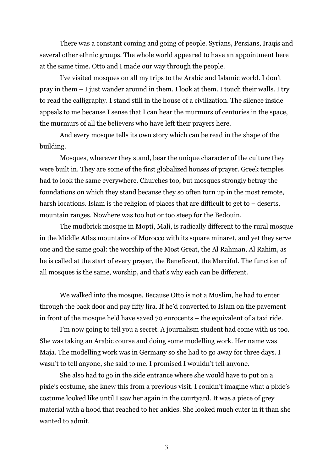There was a constant coming and going of people. Syrians, Persians, Iraqis and several other ethnic groups. The whole world appeared to have an appointment here at the same time. Otto and I made our way through the people.

I've visited mosques on all my trips to the Arabic and Islamic world. I don't pray in them - I just wander around in them. I look at them. I touch their walls. I try to read the calligraphy. I stand still in the house of a civilization. The silence inside appeals to me because I sense that I can hear the murmurs of centuries in the space, the murmurs of all the believers who have left their prayers here.

And every mosque tells its own story which can be read in the shape of the building.

Mosques, wherever they stand, bear the unique character of the culture they were built in. They are some of the first globalized houses of prayer. Greek temples had to look the same everywhere. Churches too, but mosques strongly betray the foundations on which they stand because they so often turn up in the most remote, harsh locations. Islam is the religion of places that are difficult to get to  $-$  deserts, mountain ranges. Nowhere was too hot or too steep for the Bedouin.

The mudbrick mosque in Mopti, Mali, is radically different to the rural mosque in the Middle Atlas mountains of Morocco with its square minaret, and yet they serve one and the same goal: the worship of the Most Great, the Al Rahman, Al Rahim, as he is called at the start of every prayer, the Beneficent, the Merciful. The function of all mosques is the same, worship, and that's why each can be different.

We walked into the mosque. Because Otto is not a Muslim, he had to enter through the back door and pay fifty lira. If he'd converted to Islam on the pavement in front of the mosque he'd have saved 70 eurocents – the equivalent of a taxi ride.

I'm now going to tell you a secret. A journalism student had come with us too. She was taking an Arabic course and doing some modelling work. Her name was Maja. The modelling work was in Germany so she had to go away for three days. I wasn't to tell anyone, she said to me. I promised I wouldn't tell anyone.

She also had to go in the side entrance where she would have to put on a pixie's costume, she knew this from a previous visit. I couldn't imagine what a pixie's costume looked like until I saw her again in the courty and. It was a piece of grey material with a hood that reached to her ankles. She looked much cuter in it than she wanted to admit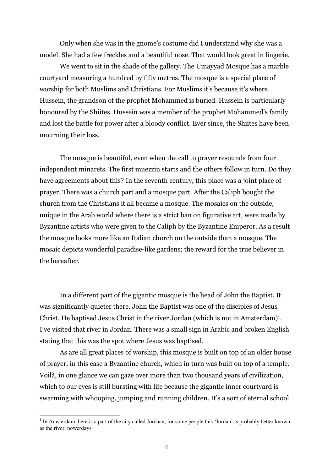Only when she was in the gnome's costume did I understand why she was a model. She had a few freckles and a beautiful nose. That would look great in lingerie.

We went to sit in the shade of the gallery. The Umayyad Mosque has a marble courty and measuring a hundred by fifty metres. The mosque is a special place of worship for both Muslims and Christians. For Muslims it's because it's where Hussein, the grandson of the prophet Mohammed is buried. Hussein is particularly honoured by the Shiites. Hussein was a member of the prophet Mohammed's family and lost the battle for power after a bloody conflict. Ever since, the Shiites have been mourning their loss.

The mosque is beautiful, even when the call to prayer resounds from four independent minarets. The first muezzin starts and the others follow in turn. Do they have agreements about this? In the seventh century, this place was a joint place of prayer. There was a church part and a mosque part. After the Caliph bought the church from the Christians it all became a mosque. The mosaics on the outside, unique in the Arab world where there is a strict ban on figurative art, were made by Byzantine artists who were given to the Caliph by the Byzantine Emperor. As a result the mosque looks more like an Italian church on the outside than a mosque. The mosaic depicts wonderful paradise-like gardens; the reward for the true believer in the hereafter.

In a different part of the gigantic mosque is the head of John the Baptist. It was significantly quieter there. John the Baptist was one of the disciples of Jesus Christ. He baptised Jesus Christ in the river Jordan (which is not in Amsterdam)<sup>1</sup>. I've visited that river in Jordan. There was a small sign in Arabic and broken English stating that this was the spot where Jesus was baptised.

As are all great places of worship, this mosque is built on top of an older house of prayer, in this case a Byzantine church, which in turn was built on top of a temple. Voilà, in one glance we can gaze over more than two thousand years of civilization, which to our eyes is still bursting with life because the gigantic inner courty and is swarming with whooping, jumping and running children. It's a sort of eternal school

<sup>&</sup>lt;sup>1</sup> In Amsterdam there is a part of the city called Jordaan; for some people this 'Jordan' is probably better known as the river, nowerdays.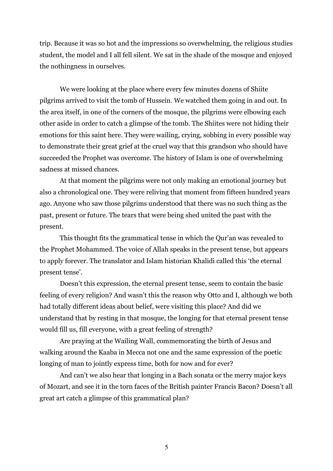trip. Because it was so hot and the impressions so overwhelming, the religious studies student, the model and I all fell silent. We sat in the shade of the mosque and enioved the nothingness in ourselves.

We were looking at the place where every few minutes dozens of Shiite pilgrims arrived to visit the tomb of Hussein. We watched them going in and out. In the area itself, in one of the corners of the mosque, the pilgrims were elbowing each other aside in order to catch a glimpse of the tomb. The Shiites were not hiding their emotions for this saint here. They were wailing, crying, sobbing in every possible way to demonstrate their great grief at the cruel way that this grandson who should have succeeded the Prophet was overcome. The history of Islam is one of overwhelming sadness at missed chances.

At that moment the pilgrims were not only making an emotional journey but also a chronological one. They were reliving that moment from fifteen hundred years ago. Anyone who saw those pilgrims understood that there was no such thing as the past, present or future. The tears that were being shed united the past with the present.

This thought fits the grammatical tense in which the Qur'an was revealed to the Prophet Mohammed. The voice of Allah speaks in the present tense, but appears to apply forever. The translator and Islam historian Khalidi called this 'the eternal present tense'.

Doesn't this expression, the eternal present tense, seem to contain the basic feeling of every religion? And wasn't this the reason why Otto and I, although we both had totally different ideas about belief, were visiting this place? And did we understand that by resting in that mosque, the longing for that eternal present tense would fill us, fill everyone, with a great feeling of strength?

Are praying at the Wailing Wall, commemorating the birth of Jesus and walking around the Kaaba in Mecca not one and the same expression of the poetic longing of man to jointly express time, both for now and for ever?

And can't we also hear that longing in a Bach sonata or the merry major keys of Mozart, and see it in the torn faces of the British painter Francis Bacon? Doesn't all great art catch a glimpse of this grammatical plan?

5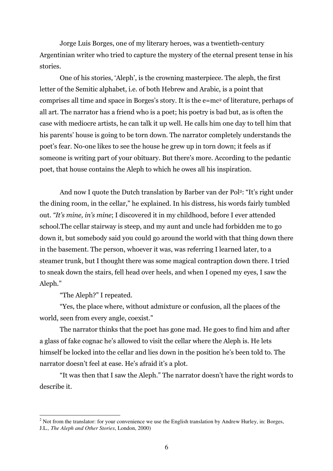Jorge Luis Borges, one of my literary heroes, was a twentieth-century Argentinian writer who tried to capture the mystery of the eternal present tense in his stories.

One of his stories, 'Aleph', is the crowning masterpiece. The aleph, the first letter of the Semitic alphabet, i.e. of both Hebrew and Arabic, is a point that comprises all time and space in Borges's story. It is the e=mc<sup>2</sup> of literature, perhaps of all art. The narrator has a friend who is a poet; his poetry is bad but, as is often the case with mediocre artists, he can talk it up well. He calls him one day to tell him that his parents' house is going to be torn down. The narrator completely understands the poet's fear. No-one likes to see the house he grew up in torn down; it feels as if someone is writing part of your obituary. But there's more. According to the pedantic poet, that house contains the Aleph to which he owes all his inspiration.

And now I quote the Dutch translation by Barber van der Pol<sup>2</sup>: "It's right under the dining room, in the cellar," he explained. In his distress, his words fairly tumbled out. "It's mine, in's mine; I discovered it in my childhood, before I ever attended school. The cellar stairway is steep, and my aunt and uncle had forbidden me to go down it, but somebody said you could go around the world with that thing down there in the basement. The person, whoever it was, was referring I learned later, to a steamer trunk, but I thought there was some magical contraption down there. I tried to sneak down the stairs, fell head over heels, and when I opened my eyes, I saw the Aleph."

"The Aleph?" I repeated.

"Yes, the place where, without admixture or confusion, all the places of the world, seen from every angle, coexist."

The narrator thinks that the poet has gone mad. He goes to find him and after a glass of fake cognac he's allowed to visit the cellar where the Aleph is. He lets himself be locked into the cellar and lies down in the position he's been told to. The narrator doesn't feel at ease. He's afraid it's a plot.

"It was then that I saw the Aleph." The narrator doesn't have the right words to describe it.

 $2$  Not from the translator: for your convenience we use the English translation by Andrew Hurley, in: Borges, J.L., The Aleph and Other Stories, London, 2000)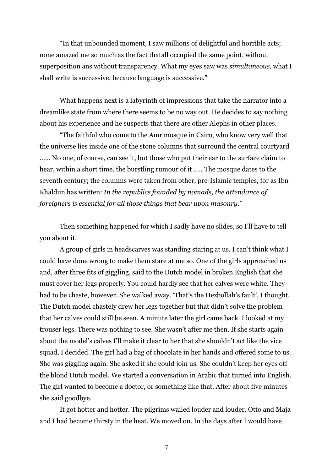"In that unbounded moment, I saw millions of delightful and horrible acts; none amazed me so much as the fact that all occupied the same point, without superposition ans without transparency. What my eyes saw was simultaneous, what I shall write is successive, because language is successive."

What happens next is a labyrinth of impressions that take the narrator into a dreamlike state from where there seems to be no way out. He decides to say nothing about his experience and he suspects that there are other Alephs in other places.

"The faithful who come to the Amr mosque in Cairo, who know very well that the universe lies inside one of the stone columns that surround the central courty and ...... No one, of course, can see it, but those who put their ear to the surface claim to hear, within a short time, the burstling rumour of it ..... The mosque dates to the seventh century; the columns were taken from other, pre-Islamic temples, for as Ibn Khaldūn has written: In the republics founded by nomads, the attendance of foreigners is essential for all those things that bear upon masonry."

Then something happened for which I sadly have no slides, so I'll have to tell you about it.

A group of girls in headscarves was standing staring at us. I can't think what I could have done wrong to make them stare at me so. One of the girls approached us and, after three fits of giggling, said to the Dutch model in broken English that she must cover her legs properly. You could hardly see that her calves were white. They had to be chaste, however. She walked away. 'That's the Hezbollah's fault', I thought. The Dutch model chastely drew her legs together but that didn't solve the problem that her calves could still be seen. A minute later the girl came back. I looked at my trouser legs. There was nothing to see. She wasn't after me then. If she starts again about the model's calves I'll make it clear to her that she shouldn't act like the vice squad, I decided. The girl had a bag of chocolate in her hands and offered some to us. She was giggling again. She asked if she could join us. She couldn't keep her eyes off the blond Dutch model. We started a conversation in Arabic that turned into English. The girl wanted to become a doctor, or something like that. After about five minutes she said goodbye.

It got hotter and hotter. The pilgrims wailed louder and louder. Otto and Maja and I had become thirsty in the heat. We moved on. In the days after I would have

 $\boldsymbol{7}$